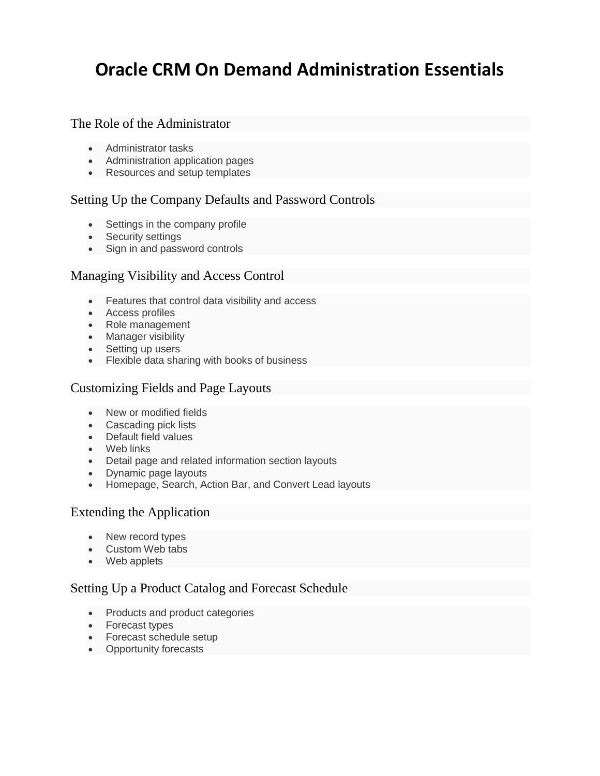# **Oracle CRM On Demand Administration Essentials**

#### The Role of the Administrator

- Administrator tasks
- Administration application pages
- Resources and setup templates

## Setting Up the Company Defaults and Password Controls

- Settings in the company profile
- Security settings
- Sign in and password controls

#### Managing Visibility and Access Control

- Features that control data visibility and access
- Access profiles
- Role management
- Manager visibility
- Setting up users
- Flexible data sharing with books of business

#### Customizing Fields and Page Layouts

- New or modified fields
- Cascading pick lists
- Default field values
- Web links
- Detail page and related information section layouts
- Dynamic page layouts
- Homepage, Search, Action Bar, and Convert Lead layouts

## Extending the Application

- New record types
- Custom Web tabs
- Web applets

## Setting Up a Product Catalog and Forecast Schedule

- Products and product categories
- Forecast types
- Forecast schedule setup
- Opportunity forecasts